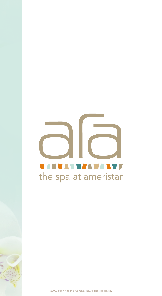# <u>i Avvan va va vv</u> the spa at ameristar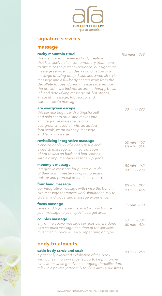

## signature services

### massage

### rocky mountain ritual

*this is a modern, renewed body treatment that is inclusive of all contemporary treatments to optimize the guest experience. our signature massage service includes a combination of a massage utilizing deep tissue and Swedish style massage and a full body heated wrap from the décolleté to toes. during this massage service the provider will include an aromatherapy bowl, infused detoxifying massage oil, hot stones, a face lift massage, foot scrub, and* 

*105 mins - 368*

| décolleté to toes. during this massage service<br>the provider will include an aromatherapy bowl,<br>infused detoxifying massage oil, hot stones,<br>a face lift massage, foot scrub, and<br>warm oil scalp massage.                            |                              |
|-------------------------------------------------------------------------------------------------------------------------------------------------------------------------------------------------------------------------------------------------|------------------------------|
| ara evergreen escape<br>this service begins with a tingsha bell<br>and palo santo ritual and moves into<br>an integrative massage using an<br>evergreen infused oil with an added<br>foot scrub, warm oil scalp massage,<br>and facial massage. | 80 min - 298                 |
| revitalizing integrative massage<br>a choice or blend of a deep tissue and<br>Swedish massage with incorporation<br>of hot towels on back and feet. comes<br>with a complimentary seasonal upgrade.                                             | 50 min - 152<br>80 min - 238 |
| mommy's massage<br>integrative massage for guests outside<br>of their first trimester using our prenatal<br>bolster and prenatal essential oil blend.                                                                                           | 50 min - 162<br>80 min - 238 |
| four hand massage<br>our integrative massage with twice the benefit.<br>two massage therapists work simultaneously to<br>give an individualized massage experience.                                                                             | 50 min - 284<br>80 min - 456 |
| focus massage<br>tense and tight? your therapist will customize<br>your massage to your specific target area.                                                                                                                                   | $25 \text{ min} - 80$        |
| couples massage<br>any of the above massage services can be done<br>as a couples massage, the time of the services<br>must match. price will vary depending on type.                                                                            | 50 min - 304<br>80 min - 476 |
|                                                                                                                                                                                                                                                 |                              |

## body treatments

#### satin body scrub and soak

*a pristinely executed exfoliation of the body with our satin brown sugar scrub to help improve* circulation while gently encouraging detoxification. *relax in a private jetted tub to shed away your stress.*

*80 min - 268*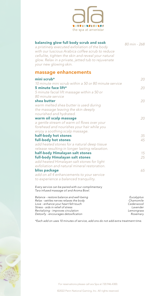

| balancing glow full body scrub and soak<br>a pristinely executed exfoliation of the body<br>with our luscious Arabica coffee scrub to reduce<br>cellulite, tighten the skin and reveal your natural<br>glow. Relax in a private, jetted tub to rejuvenate<br>your new glowing skin. | 80 min - 268                                                               |
|-------------------------------------------------------------------------------------------------------------------------------------------------------------------------------------------------------------------------------------------------------------------------------------|----------------------------------------------------------------------------|
| massage enhancements                                                                                                                                                                                                                                                                |                                                                            |
| mini scrub $*$                                                                                                                                                                                                                                                                      | 20                                                                         |
| 10 minute mini scrub within a 50 or 80 minute service                                                                                                                                                                                                                               |                                                                            |
| 5 minute face lift*<br>5 minute facial lift massage within a 50 or<br>80 minute service                                                                                                                                                                                             | 20                                                                         |
| shea butter                                                                                                                                                                                                                                                                         | 20                                                                         |
| warm melted shea butter is used during<br>the massage leaving the skin deeply<br>nourished and hydrated.                                                                                                                                                                            |                                                                            |
| warm oil scalp massage                                                                                                                                                                                                                                                              | 20                                                                         |
| a gentle stream of warm oil flows over your<br>forehead and nourishes your hair while you                                                                                                                                                                                           |                                                                            |
| enjoy a soothing scalp massage.                                                                                                                                                                                                                                                     |                                                                            |
| half-body hot stones<br>full-body hot stones                                                                                                                                                                                                                                        | 35<br>45                                                                   |
| add heated stones for a natural deep tissue<br>release resulting in longer lasting relaxation.                                                                                                                                                                                      |                                                                            |
| half-body Himalayan salt stones                                                                                                                                                                                                                                                     | 15                                                                         |
| full-body Himalayan salt stones<br>add heated Himalayan salt stones for light<br>exfoliation and natural mineral restoration.                                                                                                                                                       | 25                                                                         |
| bliss package                                                                                                                                                                                                                                                                       | 65                                                                         |
| add on all 4 enhancements to your service                                                                                                                                                                                                                                           |                                                                            |
| to experience a balanced tranquility.                                                                                                                                                                                                                                               |                                                                            |
| Every service can be paired with our complimentary<br>Tara infused massage oil and Aroma Bowl.                                                                                                                                                                                      |                                                                            |
| Balance - restore balance and well-being<br>Relax - settles nerves relaxes the body<br>Love - enhance your heart felt touch<br>Stress - aids in relief of stress<br>Revitalizing - improves circulation<br>Detoxify - encourages detoxification                                     | Eucalyptus<br>Chamomile<br>Cederwood<br>Lavender<br>Lemongrass<br>Rosemary |

*\*Each add on uses 10 minutes of service, add ons do not add extra treatment time.*

For reservations please call ara Spa at 720.946.4300.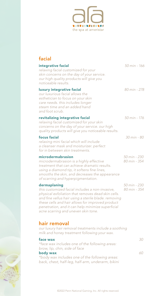

| facial                                                                                                                                                                                                                                                                                                                        |                              |
|-------------------------------------------------------------------------------------------------------------------------------------------------------------------------------------------------------------------------------------------------------------------------------------------------------------------------------|------------------------------|
| integrative facial<br>relaxing facial customized for your<br>skin concerns on the day of your service.<br>our high quality products will give you<br>noticeable results.                                                                                                                                                      | 50 min - 166                 |
| luxury integrative facial<br>our luxurious facial allows the<br>esthetician to focus on your skin<br>care needs. this includes longer<br>steam time and an added hand<br>and foot scrub.                                                                                                                                      | 80 min - 278                 |
| revitalizing integrative facial<br>relaxing facial customized for your skin<br>concerns on the day of your service. our high<br>quality products will give you noticeable results.                                                                                                                                            | 50 min - 176                 |
| focus facial<br>relaxing mini facial which will include<br>a cleanser mask and moisturizer. perfect<br>for in between skin treatments.                                                                                                                                                                                        | 30 min - 80                  |
| microdermabrasion<br>microdermabrasion is a highly effective<br>treatment that can achieve dramatic results.<br>using a diamond tip, it softens fine lines,<br>smooths the skin, and decreases the appearance<br>of scarring and hyperpigmentation.                                                                           | 50 min - 230<br>80 min - 354 |
| dermaplaning<br>this customized facial includes a non-invasive,<br>physical exfoliation that removes dead skin cells.<br>and fine vellus hair using a sterile blade. removing<br>these cells and hair allows for improved product<br>penetration, and it can help minimize superficial<br>acne scarring and uneven skin tone. | 50 min - 230<br>80 min - 354 |
| hair removal<br>our luxury hair removal treatments include a soothing<br>milk and honey treatment following your wax.                                                                                                                                                                                                         |                              |
| face wax<br>*face wax includes one of the following areas:<br>brow, lip, chin, side of face                                                                                                                                                                                                                                   | 30                           |
| body wax<br>*body wax includes one of the following areas:<br>back, chest, half-leg, half-arm, underarm, bikini                                                                                                                                                                                                               | 60                           |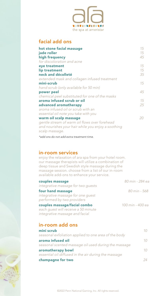

## facial add ons

| hot stone facial massage<br>jade roller            | 15<br>15 |
|----------------------------------------------------|----------|
| high frequency                                     | 45       |
| for discoloration and acne                         |          |
| eye treatment                                      | 15       |
| lip treatment                                      | 15       |
| neck and décolleté                                 | 35       |
| extended mask and collagen infused treatment       |          |
| mini-scrub                                         | 15       |
| hand scrub (only available for 50 min)             |          |
| power peel                                         | 45       |
| chemical peel substituted for one of the masks     |          |
| aroma infused scrub or oil                         | 15       |
| advanced aromatherapy                              | 25       |
| aroma infused oil or scrub with an                 |          |
| essential oil note you take with you               |          |
| warm oil scalp massage                             | 20       |
| gentle stream of warm oil flows over forehead      |          |
| and nourishes your hair while you enjoy a soothing |          |
| scalp massage.                                     |          |

*\*add ons do not add extra treatment time.*

## in-room services

enjoy the relaxation of ara spa from your hotel room. our massage therapists will utilize a combination of deep tissue and Swedish style massage during the massage session. choose from a list of our in-room available add-ons to enhance your service.

| couples massage                                                     | 80 min - 284 ea  |
|---------------------------------------------------------------------|------------------|
| integrative massage for two quests                                  |                  |
| four hand massage                                                   | 80 min - 568     |
| integrative massage for one quest<br>performed by two providers     |                  |
| couples massage/facial combo<br>each quest will receive a 50 minute | 100 min - 400 ea |

# in-room add ons

*integrative massage and facial*

| mini scrub                                           | 10 |
|------------------------------------------------------|----|
| seasonal exfoliation applied to one area of the body |    |
| aroma infused oil                                    | 10 |
| seasonal scented massage oil used during the massage |    |
| aromatherapy bowl                                    | 10 |
| essential oil diffused in the air during the massage |    |
| champagne for two                                    | 24 |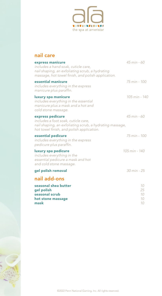

| nail care                                                                                                                                                        |                            |
|------------------------------------------------------------------------------------------------------------------------------------------------------------------|----------------------------|
| express manicure<br>includes a hand soak, cuticle care,<br>nail shaping, an exfoliating scrub, a hydrating<br>massage, hot towel finish, and polish application. | $45 \text{ min} - 60$      |
| essential manicure<br>includes everything in the express<br>manicure plus paraffin.                                                                              | 75 min - 100               |
| luxury spa manicure<br>includes everything in the essential<br>manicure plus a mask and a hot and<br>cold stone massage.                                         | 105 min - 140              |
| express pedicure<br>includes a foot soak, cuticle care,<br>nail shaping, an exfoliating scrub, a hydrating massage,<br>hot towel finish, and polish application. | $45 \text{ min} - 60$      |
| essential pedicure<br>includes everything in the express<br>pedicure plus paraffin.                                                                              | 75 min - 100               |
| luxury spa pedicure<br>includes everything in the<br>essential pedicure a mask and hot<br>and cold stone massage.                                                | 105 min - 140              |
| gel polish removal                                                                                                                                               | $30 \text{ min} - 25$      |
| nail add-ons                                                                                                                                                     |                            |
| seasonal shea butter<br>gel polish<br>seasonal scrub<br>hot stone massage<br>mask                                                                                | 10<br>25<br>10<br>10<br>10 |